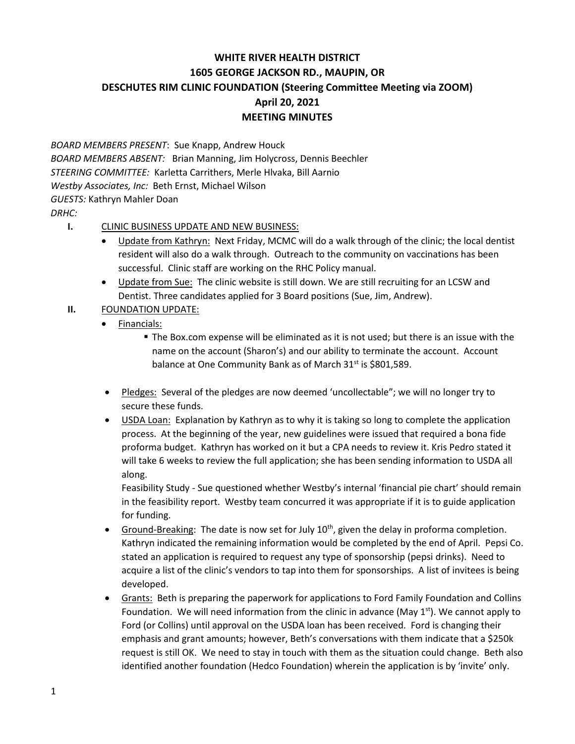## **WHITE RIVER HEALTH DISTRICT 1605 GEORGE JACKSON RD., MAUPIN, OR DESCHUTES RIM CLINIC FOUNDATION (Steering Committee Meeting via ZOOM) April 20, 2021 MEETING MINUTES**

*BOARD MEMBERS PRESENT*: Sue Knapp, Andrew Houck *BOARD MEMBERS ABSENT:* Brian Manning, Jim Holycross, Dennis Beechler *STEERING COMMITTEE:* Karletta Carrithers, Merle Hlvaka, Bill Aarnio *Westby Associates, Inc:* Beth Ernst, Michael Wilson *GUESTS:* Kathryn Mahler Doan *DRHC:*

## **I.** CLINIC BUSINESS UPDATE AND NEW BUSINESS:

- Update from Kathryn: Next Friday, MCMC will do a walk through of the clinic; the local dentist resident will also do a walk through. Outreach to the community on vaccinations has been successful. Clinic staff are working on the RHC Policy manual.
- Update from Sue: The clinic website is still down. We are still recruiting for an LCSW and Dentist. Three candidates applied for 3 Board positions (Sue, Jim, Andrew).
- **II.** FOUNDATION UPDATE:
	- Financials:
		- The Box.com expense will be eliminated as it is not used; but there is an issue with the name on the account (Sharon's) and our ability to terminate the account. Account balance at One Community Bank as of March 31<sup>st</sup> is \$801,589.
	- Pledges: Several of the pledges are now deemed 'uncollectable"; we will no longer try to secure these funds.
	- USDA Loan: Explanation by Kathryn as to why it is taking so long to complete the application process. At the beginning of the year, new guidelines were issued that required a bona fide proforma budget. Kathryn has worked on it but a CPA needs to review it. Kris Pedro stated it will take 6 weeks to review the full application; she has been sending information to USDA all along.

Feasibility Study - Sue questioned whether Westby's internal 'financial pie chart' should remain in the feasibility report. Westby team concurred it was appropriate if it is to guide application for funding.

- Ground-Breaking: The date is now set for July  $10^{th}$ , given the delay in proforma completion. Kathryn indicated the remaining information would be completed by the end of April. Pepsi Co. stated an application is required to request any type of sponsorship (pepsi drinks). Need to acquire a list of the clinic's vendors to tap into them for sponsorships. A list of invitees is being developed.
- Grants: Beth is preparing the paperwork for applications to Ford Family Foundation and Collins Foundation. We will need information from the clinic in advance (May  $1<sup>st</sup>$ ). We cannot apply to Ford (or Collins) until approval on the USDA loan has been received. Ford is changing their emphasis and grant amounts; however, Beth's conversations with them indicate that a \$250k request is still OK. We need to stay in touch with them as the situation could change. Beth also identified another foundation (Hedco Foundation) wherein the application is by 'invite' only.